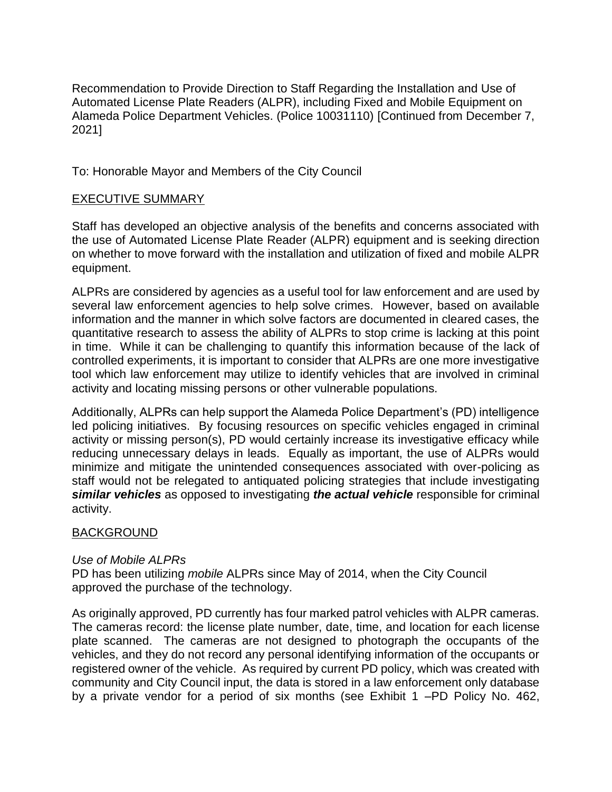Recommendation to Provide Direction to Staff Regarding the Installation and Use of Automated License Plate Readers (ALPR), including Fixed and Mobile Equipment on Alameda Police Department Vehicles. (Police 10031110) [Continued from December 7, 2021]

To: Honorable Mayor and Members of the City Council

# EXECUTIVE SUMMARY

Staff has developed an objective analysis of the benefits and concerns associated with the use of Automated License Plate Reader (ALPR) equipment and is seeking direction on whether to move forward with the installation and utilization of fixed and mobile ALPR equipment.

ALPRs are considered by agencies as a useful tool for law enforcement and are used by several law enforcement agencies to help solve crimes. However, based on available information and the manner in which solve factors are documented in cleared cases, the quantitative research to assess the ability of ALPRs to stop crime is lacking at this point in time. While it can be challenging to quantify this information because of the lack of controlled experiments, it is important to consider that ALPRs are one more investigative tool which law enforcement may utilize to identify vehicles that are involved in criminal activity and locating missing persons or other vulnerable populations.

Additionally, ALPRs can help support the Alameda Police Department's (PD) intelligence led policing initiatives. By focusing resources on specific vehicles engaged in criminal activity or missing person(s), PD would certainly increase its investigative efficacy while reducing unnecessary delays in leads. Equally as important, the use of ALPRs would minimize and mitigate the unintended consequences associated with over-policing as staff would not be relegated to antiquated policing strategies that include investigating *similar vehicles* as opposed to investigating *the actual vehicle* responsible for criminal activity.

# BACKGROUND

# *Use of Mobile ALPRs*

PD has been utilizing *mobile* ALPRs since May of 2014, when the City Council approved the purchase of the technology.

As originally approved, PD currently has four marked patrol vehicles with ALPR cameras. The cameras record: the license plate number, date, time, and location for each license plate scanned. The cameras are not designed to photograph the occupants of the vehicles, and they do not record any personal identifying information of the occupants or registered owner of the vehicle. As required by current PD policy, which was created with community and City Council input, the data is stored in a law enforcement only database by a private vendor for a period of six months (see Exhibit 1 –PD Policy No. 462,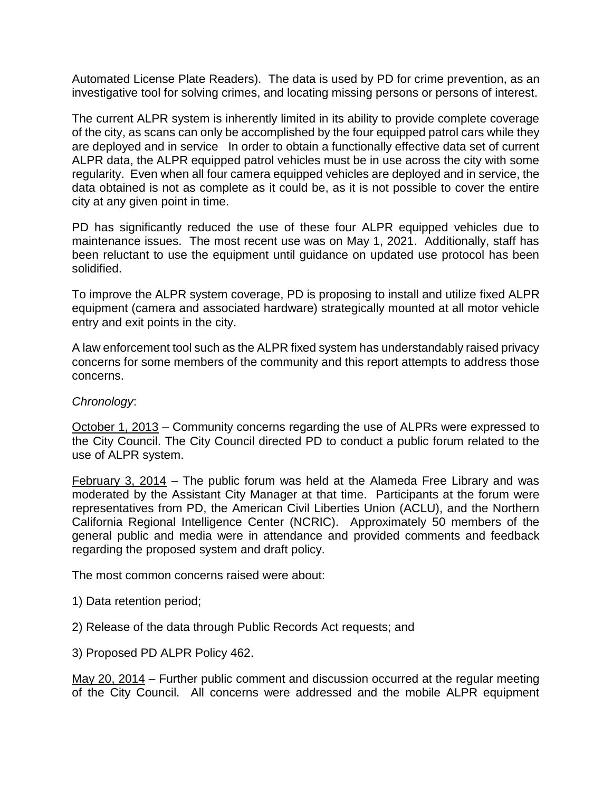Automated License Plate Readers). The data is used by PD for crime prevention, as an investigative tool for solving crimes, and locating missing persons or persons of interest.

The current ALPR system is inherently limited in its ability to provide complete coverage of the city, as scans can only be accomplished by the four equipped patrol cars while they are deployed and in service In order to obtain a functionally effective data set of current ALPR data, the ALPR equipped patrol vehicles must be in use across the city with some regularity. Even when all four camera equipped vehicles are deployed and in service, the data obtained is not as complete as it could be, as it is not possible to cover the entire city at any given point in time.

PD has significantly reduced the use of these four ALPR equipped vehicles due to maintenance issues. The most recent use was on May 1, 2021. Additionally, staff has been reluctant to use the equipment until guidance on updated use protocol has been solidified.

To improve the ALPR system coverage, PD is proposing to install and utilize fixed ALPR equipment (camera and associated hardware) strategically mounted at all motor vehicle entry and exit points in the city.

A law enforcement tool such as the ALPR fixed system has understandably raised privacy concerns for some members of the community and this report attempts to address those concerns.

#### *Chronology*:

October 1, 2013 – Community concerns regarding the use of ALPRs were expressed to the City Council. The City Council directed PD to conduct a public forum related to the use of ALPR system.

February 3, 2014 – The public forum was held at the Alameda Free Library and was moderated by the Assistant City Manager at that time. Participants at the forum were representatives from PD, the American Civil Liberties Union (ACLU), and the Northern California Regional Intelligence Center (NCRIC). Approximately 50 members of the general public and media were in attendance and provided comments and feedback regarding the proposed system and draft policy.

The most common concerns raised were about:

- 1) Data retention period;
- 2) Release of the data through Public Records Act requests; and
- 3) Proposed PD ALPR Policy 462.

May 20, 2014 – Further public comment and discussion occurred at the regular meeting of the City Council. All concerns were addressed and the mobile ALPR equipment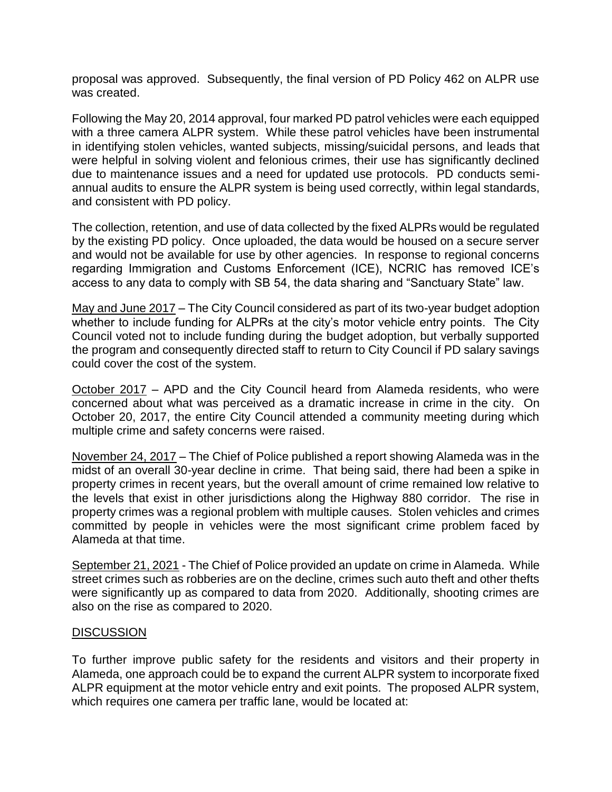proposal was approved. Subsequently, the final version of PD Policy 462 on ALPR use was created.

Following the May 20, 2014 approval, four marked PD patrol vehicles were each equipped with a three camera ALPR system. While these patrol vehicles have been instrumental in identifying stolen vehicles, wanted subjects, missing/suicidal persons, and leads that were helpful in solving violent and felonious crimes, their use has significantly declined due to maintenance issues and a need for updated use protocols. PD conducts semiannual audits to ensure the ALPR system is being used correctly, within legal standards, and consistent with PD policy.

The collection, retention, and use of data collected by the fixed ALPRs would be regulated by the existing PD policy. Once uploaded, the data would be housed on a secure server and would not be available for use by other agencies. In response to regional concerns regarding Immigration and Customs Enforcement (ICE), NCRIC has removed ICE's access to any data to comply with SB 54, the data sharing and "Sanctuary State" law.

May and June 2017 – The City Council considered as part of its two-year budget adoption whether to include funding for ALPRs at the city's motor vehicle entry points. The City Council voted not to include funding during the budget adoption, but verbally supported the program and consequently directed staff to return to City Council if PD salary savings could cover the cost of the system.

October 2017 – APD and the City Council heard from Alameda residents, who were concerned about what was perceived as a dramatic increase in crime in the city. On October 20, 2017, the entire City Council attended a community meeting during which multiple crime and safety concerns were raised.

November 24, 2017 – The Chief of Police published a report showing Alameda was in the midst of an overall 30-year decline in crime. That being said, there had been a spike in property crimes in recent years, but the overall amount of crime remained low relative to the levels that exist in other jurisdictions along the Highway 880 corridor. The rise in property crimes was a regional problem with multiple causes. Stolen vehicles and crimes committed by people in vehicles were the most significant crime problem faced by Alameda at that time.

September 21, 2021 - The Chief of Police provided an update on crime in Alameda. While street crimes such as robberies are on the decline, crimes such auto theft and other thefts were significantly up as compared to data from 2020. Additionally, shooting crimes are also on the rise as compared to 2020.

# **DISCUSSION**

To further improve public safety for the residents and visitors and their property in Alameda, one approach could be to expand the current ALPR system to incorporate fixed ALPR equipment at the motor vehicle entry and exit points. The proposed ALPR system, which requires one camera per traffic lane, would be located at: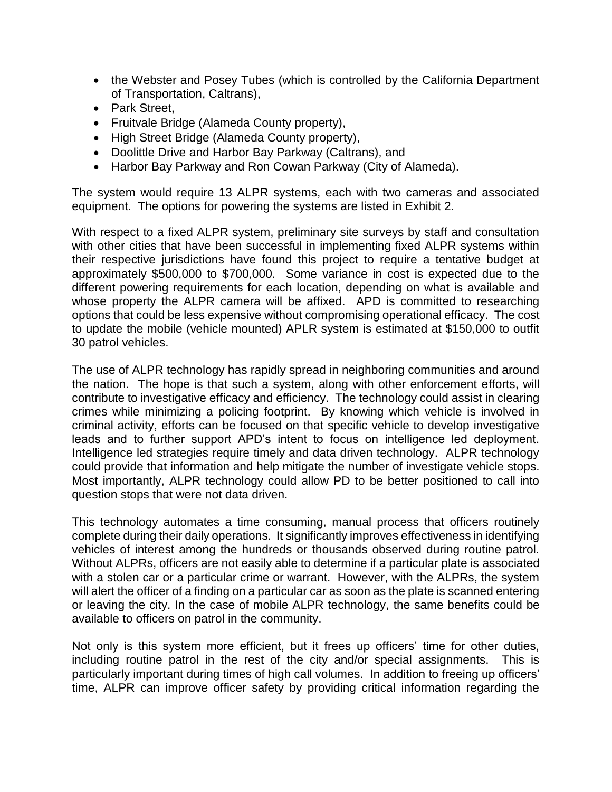- the Webster and Posey Tubes (which is controlled by the California Department of Transportation, Caltrans),
- Park Street,
- Fruitvale Bridge (Alameda County property),
- High Street Bridge (Alameda County property),
- Doolittle Drive and Harbor Bay Parkway (Caltrans), and
- Harbor Bay Parkway and Ron Cowan Parkway (City of Alameda).

The system would require 13 ALPR systems, each with two cameras and associated equipment. The options for powering the systems are listed in Exhibit 2.

With respect to a fixed ALPR system, preliminary site surveys by staff and consultation with other cities that have been successful in implementing fixed ALPR systems within their respective jurisdictions have found this project to require a tentative budget at approximately \$500,000 to \$700,000. Some variance in cost is expected due to the different powering requirements for each location, depending on what is available and whose property the ALPR camera will be affixed. APD is committed to researching options that could be less expensive without compromising operational efficacy. The cost to update the mobile (vehicle mounted) APLR system is estimated at \$150,000 to outfit 30 patrol vehicles.

The use of ALPR technology has rapidly spread in neighboring communities and around the nation. The hope is that such a system, along with other enforcement efforts, will contribute to investigative efficacy and efficiency. The technology could assist in clearing crimes while minimizing a policing footprint. By knowing which vehicle is involved in criminal activity, efforts can be focused on that specific vehicle to develop investigative leads and to further support APD's intent to focus on intelligence led deployment. Intelligence led strategies require timely and data driven technology. ALPR technology could provide that information and help mitigate the number of investigate vehicle stops. Most importantly, ALPR technology could allow PD to be better positioned to call into question stops that were not data driven.

This technology automates a time consuming, manual process that officers routinely complete during their daily operations. It significantly improves effectiveness in identifying vehicles of interest among the hundreds or thousands observed during routine patrol. Without ALPRs, officers are not easily able to determine if a particular plate is associated with a stolen car or a particular crime or warrant. However, with the ALPRs, the system will alert the officer of a finding on a particular car as soon as the plate is scanned entering or leaving the city. In the case of mobile ALPR technology, the same benefits could be available to officers on patrol in the community.

Not only is this system more efficient, but it frees up officers' time for other duties, including routine patrol in the rest of the city and/or special assignments. This is particularly important during times of high call volumes. In addition to freeing up officers' time, ALPR can improve officer safety by providing critical information regarding the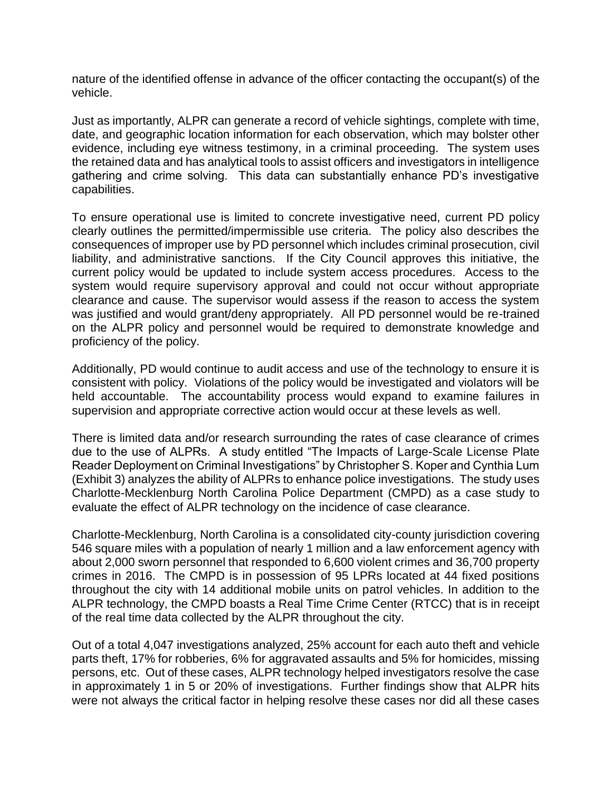nature of the identified offense in advance of the officer contacting the occupant(s) of the vehicle.

Just as importantly, ALPR can generate a record of vehicle sightings, complete with time, date, and geographic location information for each observation, which may bolster other evidence, including eye witness testimony, in a criminal proceeding. The system uses the retained data and has analytical tools to assist officers and investigators in intelligence gathering and crime solving. This data can substantially enhance PD's investigative capabilities.

To ensure operational use is limited to concrete investigative need, current PD policy clearly outlines the permitted/impermissible use criteria. The policy also describes the consequences of improper use by PD personnel which includes criminal prosecution, civil liability, and administrative sanctions. If the City Council approves this initiative, the current policy would be updated to include system access procedures. Access to the system would require supervisory approval and could not occur without appropriate clearance and cause. The supervisor would assess if the reason to access the system was justified and would grant/deny appropriately. All PD personnel would be re-trained on the ALPR policy and personnel would be required to demonstrate knowledge and proficiency of the policy.

Additionally, PD would continue to audit access and use of the technology to ensure it is consistent with policy. Violations of the policy would be investigated and violators will be held accountable. The accountability process would expand to examine failures in supervision and appropriate corrective action would occur at these levels as well.

There is limited data and/or research surrounding the rates of case clearance of crimes due to the use of ALPRs. A study entitled "The Impacts of Large-Scale License Plate Reader Deployment on Criminal Investigations" by Christopher S. Koper and Cynthia Lum (Exhibit 3) analyzes the ability of ALPRs to enhance police investigations. The study uses Charlotte-Mecklenburg North Carolina Police Department (CMPD) as a case study to evaluate the effect of ALPR technology on the incidence of case clearance.

Charlotte-Mecklenburg, North Carolina is a consolidated city-county jurisdiction covering 546 square miles with a population of nearly 1 million and a law enforcement agency with about 2,000 sworn personnel that responded to 6,600 violent crimes and 36,700 property crimes in 2016. The CMPD is in possession of 95 LPRs located at 44 fixed positions throughout the city with 14 additional mobile units on patrol vehicles. In addition to the ALPR technology, the CMPD boasts a Real Time Crime Center (RTCC) that is in receipt of the real time data collected by the ALPR throughout the city.

Out of a total 4,047 investigations analyzed, 25% account for each auto theft and vehicle parts theft, 17% for robberies, 6% for aggravated assaults and 5% for homicides, missing persons, etc. Out of these cases, ALPR technology helped investigators resolve the case in approximately 1 in 5 or 20% of investigations. Further findings show that ALPR hits were not always the critical factor in helping resolve these cases nor did all these cases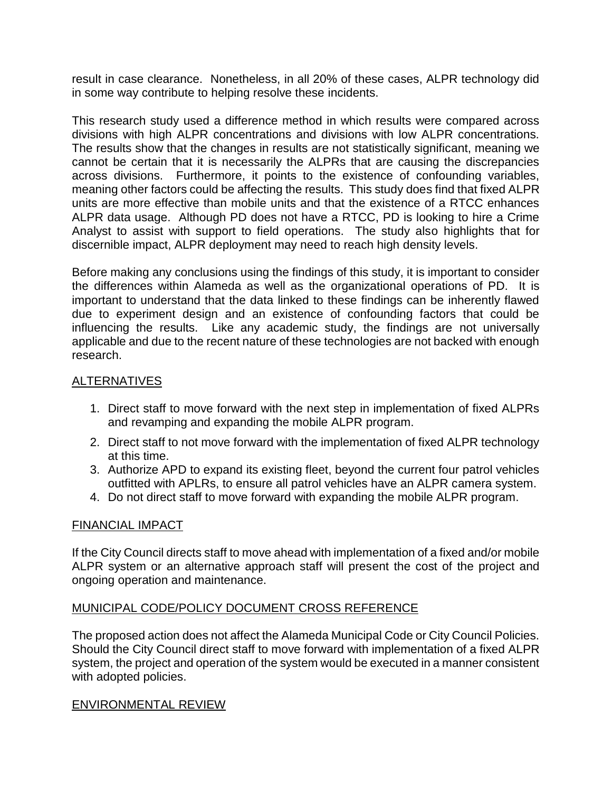result in case clearance. Nonetheless, in all 20% of these cases, ALPR technology did in some way contribute to helping resolve these incidents.

This research study used a difference method in which results were compared across divisions with high ALPR concentrations and divisions with low ALPR concentrations. The results show that the changes in results are not statistically significant, meaning we cannot be certain that it is necessarily the ALPRs that are causing the discrepancies across divisions. Furthermore, it points to the existence of confounding variables, meaning other factors could be affecting the results. This study does find that fixed ALPR units are more effective than mobile units and that the existence of a RTCC enhances ALPR data usage. Although PD does not have a RTCC, PD is looking to hire a Crime Analyst to assist with support to field operations. The study also highlights that for discernible impact, ALPR deployment may need to reach high density levels.

Before making any conclusions using the findings of this study, it is important to consider the differences within Alameda as well as the organizational operations of PD. It is important to understand that the data linked to these findings can be inherently flawed due to experiment design and an existence of confounding factors that could be influencing the results. Like any academic study, the findings are not universally applicable and due to the recent nature of these technologies are not backed with enough research.

# ALTERNATIVES

- 1. Direct staff to move forward with the next step in implementation of fixed ALPRs and revamping and expanding the mobile ALPR program.
- 2. Direct staff to not move forward with the implementation of fixed ALPR technology at this time.
- 3. Authorize APD to expand its existing fleet, beyond the current four patrol vehicles outfitted with APLRs, to ensure all patrol vehicles have an ALPR camera system.
- 4. Do not direct staff to move forward with expanding the mobile ALPR program.

# FINANCIAL IMPACT

If the City Council directs staff to move ahead with implementation of a fixed and/or mobile ALPR system or an alternative approach staff will present the cost of the project and ongoing operation and maintenance.

# MUNICIPAL CODE/POLICY DOCUMENT CROSS REFERENCE

The proposed action does not affect the Alameda Municipal Code or City Council Policies. Should the City Council direct staff to move forward with implementation of a fixed ALPR system, the project and operation of the system would be executed in a manner consistent with adopted policies.

# ENVIRONMENTAL REVIEW